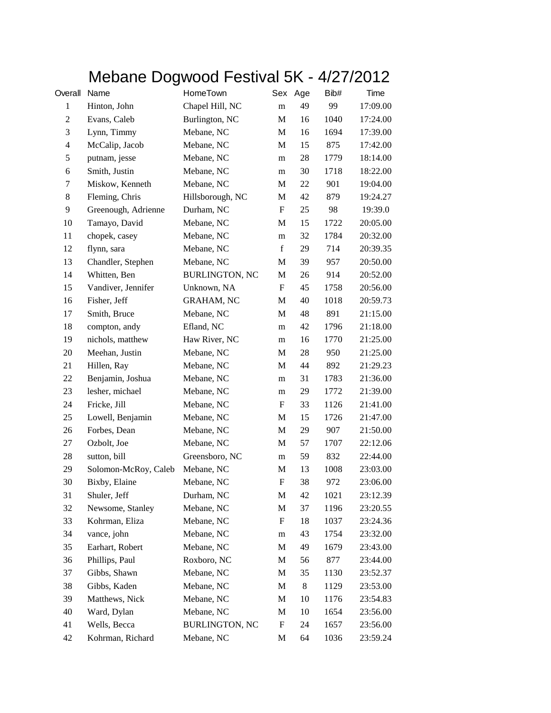## Mebane Dogwood Festival 5K - 4/27/2012

| Overall        | Name                 | HomeTown              | Sex         | Age | Bib# | Time     |
|----------------|----------------------|-----------------------|-------------|-----|------|----------|
| $\mathbf{1}$   | Hinton, John         | Chapel Hill, NC       | m           | 49  | 99   | 17:09.00 |
| $\sqrt{2}$     | Evans, Caleb         | Burlington, NC        | M           | 16  | 1040 | 17:24.00 |
| 3              | Lynn, Timmy          | Mebane, NC            | M           | 16  | 1694 | 17:39.00 |
| $\overline{4}$ | McCalip, Jacob       | Mebane, NC            | M           | 15  | 875  | 17:42.00 |
| 5              | putnam, jesse        | Mebane, NC            | m           | 28  | 1779 | 18:14.00 |
| 6              | Smith, Justin        | Mebane, NC            | m           | 30  | 1718 | 18:22.00 |
| 7              | Miskow, Kenneth      | Mebane, NC            | M           | 22  | 901  | 19:04.00 |
| 8              | Fleming, Chris       | Hillsborough, NC      | M           | 42  | 879  | 19:24.27 |
| 9              | Greenough, Adrienne  | Durham, NC            | F           | 25  | 98   | 19:39.0  |
| 10             | Tamayo, David        | Mebane, NC            | M           | 15  | 1722 | 20:05.00 |
| 11             | chopek, casey        | Mebane, NC            | m           | 32  | 1784 | 20:32.00 |
| 12             | flynn, sara          | Mebane, NC            | $\mathbf f$ | 29  | 714  | 20:39.35 |
| 13             | Chandler, Stephen    | Mebane, NC            | M           | 39  | 957  | 20:50.00 |
| 14             | Whitten, Ben         | <b>BURLINGTON, NC</b> | M           | 26  | 914  | 20:52.00 |
| 15             | Vandiver, Jennifer   | Unknown, NA           | F           | 45  | 1758 | 20:56.00 |
| 16             | Fisher, Jeff         | <b>GRAHAM, NC</b>     | M           | 40  | 1018 | 20:59.73 |
| 17             | Smith, Bruce         | Mebane, NC            | M           | 48  | 891  | 21:15.00 |
| 18             | compton, andy        | Efland, NC            | m           | 42  | 1796 | 21:18.00 |
| 19             | nichols, matthew     | Haw River, NC         | m           | 16  | 1770 | 21:25.00 |
| 20             | Meehan, Justin       | Mebane, NC            | M           | 28  | 950  | 21:25.00 |
| 21             | Hillen, Ray          | Mebane, NC            | M           | 44  | 892  | 21:29.23 |
| 22             | Benjamin, Joshua     | Mebane, NC            | m           | 31  | 1783 | 21:36.00 |
| 23             | lesher, michael      | Mebane, NC            | m           | 29  | 1772 | 21:39.00 |
| 24             | Fricke, Jill         | Mebane, NC            | F           | 33  | 1126 | 21:41.00 |
| 25             | Lowell, Benjamin     | Mebane, NC            | M           | 15  | 1726 | 21:47.00 |
| 26             | Forbes, Dean         | Mebane, NC            | M           | 29  | 907  | 21:50.00 |
| 27             | Ozbolt, Joe          | Mebane, NC            | M           | 57  | 1707 | 22:12.06 |
| 28             | sutton, bill         | Greensboro, NC        | m           | 59  | 832  | 22:44.00 |
| 29             | Solomon-McRoy, Caleb | Mebane, NC            | M           | 13  | 1008 | 23:03.00 |
| 30             | Bixby, Elaine        | Mebane, NC            | F           | 38  | 972  | 23:06.00 |
| 31             | Shuler, Jeff         | Durham, NC            | M           | 42  | 1021 | 23:12.39 |
| 32             | Newsome, Stanley     | Mebane, NC            | M           | 37  | 1196 | 23:20.55 |
| 33             | Kohrman, Eliza       | Mebane, NC            | F           | 18  | 1037 | 23:24.36 |
| 34             | vance, john          | Mebane, NC            | m           | 43  | 1754 | 23:32.00 |
| 35             | Earhart, Robert      | Mebane, NC            | M           | 49  | 1679 | 23:43.00 |
| 36             | Phillips, Paul       | Roxboro, NC           | M           | 56  | 877  | 23:44.00 |
| 37             | Gibbs, Shawn         | Mebane, NC            | M           | 35  | 1130 | 23:52.37 |
| 38             | Gibbs, Kaden         | Mebane, NC            | M           | 8   | 1129 | 23:53.00 |
| 39             | Matthews, Nick       | Mebane, NC            | M           | 10  | 1176 | 23:54.83 |
| 40             | Ward, Dylan          | Mebane, NC            | M           | 10  | 1654 | 23:56.00 |
| 41             | Wells, Becca         | <b>BURLINGTON, NC</b> | F           | 24  | 1657 | 23:56.00 |
| 42             | Kohrman, Richard     | Mebane, NC            | M           | 64  | 1036 | 23:59.24 |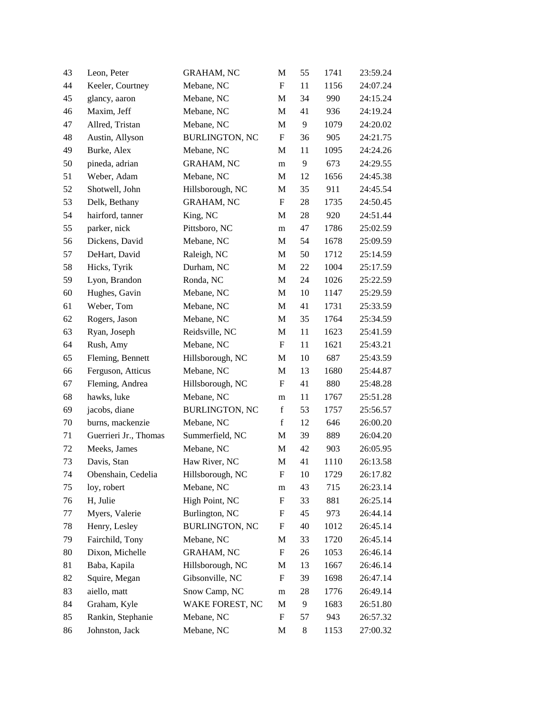| 43 | Leon, Peter           | <b>GRAHAM, NC</b>     | M                         | 55 | 1741 | 23:59.24 |
|----|-----------------------|-----------------------|---------------------------|----|------|----------|
| 44 | Keeler, Courtney      | Mebane, NC            | $\boldsymbol{\mathrm{F}}$ | 11 | 1156 | 24:07.24 |
| 45 | glancy, aaron         | Mebane, NC            | M                         | 34 | 990  | 24:15.24 |
| 46 | Maxim, Jeff           | Mebane, NC            | M                         | 41 | 936  | 24:19.24 |
| 47 | Allred, Tristan       | Mebane, NC            | M                         | 9  | 1079 | 24:20.02 |
| 48 | Austin, Allyson       | <b>BURLINGTON, NC</b> | $\boldsymbol{\mathrm{F}}$ | 36 | 905  | 24:21.75 |
| 49 | Burke, Alex           | Mebane, NC            | $\mathbf M$               | 11 | 1095 | 24:24.26 |
| 50 | pineda, adrian        | <b>GRAHAM, NC</b>     | m                         | 9  | 673  | 24:29.55 |
| 51 | Weber, Adam           | Mebane, NC            | M                         | 12 | 1656 | 24:45.38 |
| 52 | Shotwell, John        | Hillsborough, NC      | $\mathbf M$               | 35 | 911  | 24:45.54 |
| 53 | Delk, Bethany         | <b>GRAHAM, NC</b>     | $\mathbf{F}$              | 28 | 1735 | 24:50.45 |
| 54 | hairford, tanner      | King, NC              | M                         | 28 | 920  | 24:51.44 |
| 55 | parker, nick          | Pittsboro, NC         | m                         | 47 | 1786 | 25:02.59 |
| 56 | Dickens, David        | Mebane, NC            | M                         | 54 | 1678 | 25:09.59 |
| 57 | DeHart, David         | Raleigh, NC           | M                         | 50 | 1712 | 25:14.59 |
| 58 | Hicks, Tyrik          | Durham, NC            | M                         | 22 | 1004 | 25:17.59 |
| 59 | Lyon, Brandon         | Ronda, NC             | M                         | 24 | 1026 | 25:22.59 |
| 60 | Hughes, Gavin         | Mebane, NC            | $\mathbf M$               | 10 | 1147 | 25:29.59 |
| 61 | Weber, Tom            | Mebane, NC            | M                         | 41 | 1731 | 25:33.59 |
| 62 | Rogers, Jason         | Mebane, NC            | $\mathbf M$               | 35 | 1764 | 25:34.59 |
| 63 | Ryan, Joseph          | Reidsville, NC        | M                         | 11 | 1623 | 25:41.59 |
| 64 | Rush, Amy             | Mebane, NC            | F                         | 11 | 1621 | 25:43.21 |
| 65 | Fleming, Bennett      | Hillsborough, NC      | M                         | 10 | 687  | 25:43.59 |
| 66 | Ferguson, Atticus     | Mebane, NC            | M                         | 13 | 1680 | 25:44.87 |
| 67 | Fleming, Andrea       | Hillsborough, NC      | F                         | 41 | 880  | 25:48.28 |
| 68 | hawks, luke           | Mebane, NC            | m                         | 11 | 1767 | 25:51.28 |
| 69 | jacobs, diane         | <b>BURLINGTON, NC</b> | $\mathbf f$               | 53 | 1757 | 25:56.57 |
| 70 | burns, mackenzie      | Mebane, NC            | $\mathbf f$               | 12 | 646  | 26:00.20 |
| 71 | Guerrieri Jr., Thomas | Summerfield, NC       | M                         | 39 | 889  | 26:04.20 |
| 72 | Meeks, James          | Mebane, NC            | M                         | 42 | 903  | 26:05.95 |
| 73 | Davis, Stan           | Haw River, NC         | M                         | 41 | 1110 | 26:13.58 |
| 74 | Obenshain, Cedelia    | Hillsborough, NC      | F                         | 10 | 1729 | 26:17.82 |
| 75 | loy, robert           | Mebane, NC            | m                         | 43 | 715  | 26:23.14 |
| 76 | H, Julie              | High Point, NC        | F                         | 33 | 881  | 26:25.14 |
| 77 | Myers, Valerie        | Burlington, NC        | F                         | 45 | 973  | 26:44.14 |
| 78 | Henry, Lesley         | <b>BURLINGTON, NC</b> | F                         | 40 | 1012 | 26:45.14 |
| 79 | Fairchild, Tony       | Mebane, NC            | M                         | 33 | 1720 | 26:45.14 |
| 80 | Dixon, Michelle       | <b>GRAHAM, NC</b>     | $\boldsymbol{\mathrm{F}}$ | 26 | 1053 | 26:46.14 |
| 81 | Baba, Kapila          | Hillsborough, NC      | M                         | 13 | 1667 | 26:46.14 |
| 82 | Squire, Megan         | Gibsonville, NC       | F                         | 39 | 1698 | 26:47.14 |
| 83 | aiello, matt          | Snow Camp, NC         | m                         | 28 | 1776 | 26:49.14 |
| 84 | Graham, Kyle          | WAKE FOREST, NC       | M                         | 9  | 1683 | 26:51.80 |
| 85 | Rankin, Stephanie     | Mebane, NC            | $\boldsymbol{\mathrm{F}}$ | 57 | 943  | 26:57.32 |
| 86 | Johnston, Jack        | Mebane, NC            | M                         | 8  | 1153 | 27:00.32 |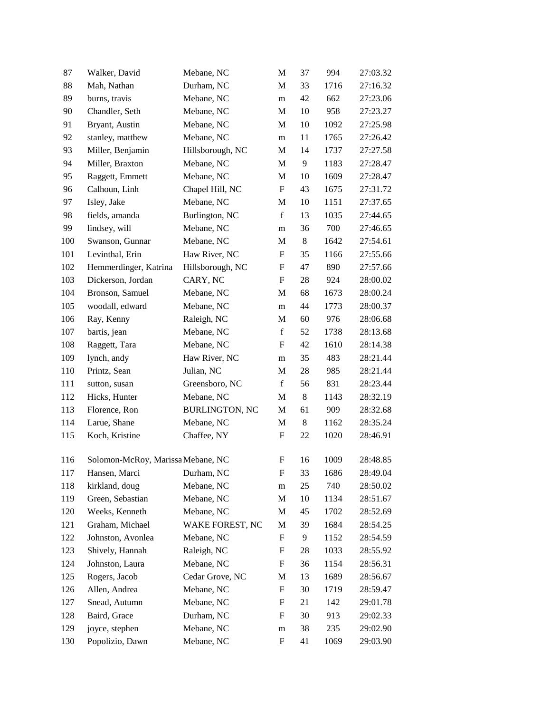| 87  | Walker, David                     | Mebane, NC            | M                         | 37    | 994  | 27:03.32 |
|-----|-----------------------------------|-----------------------|---------------------------|-------|------|----------|
| 88  | Mah, Nathan                       | Durham, NC            | M                         | 33    | 1716 | 27:16.32 |
| 89  | burns, travis                     | Mebane, NC            | m                         | 42    | 662  | 27:23.06 |
| 90  | Chandler, Seth                    | Mebane, NC            | M                         | 10    | 958  | 27:23.27 |
| 91  | Bryant, Austin                    | Mebane, NC            | M                         | 10    | 1092 | 27:25.98 |
| 92  | stanley, matthew                  | Mebane, NC            | m                         | 11    | 1765 | 27:26.42 |
| 93  | Miller, Benjamin                  | Hillsborough, NC      | M                         | 14    | 1737 | 27:27.58 |
| 94  | Miller, Braxton                   | Mebane, NC            | M                         | 9     | 1183 | 27:28.47 |
| 95  | Raggett, Emmett                   | Mebane, NC            | M                         | 10    | 1609 | 27:28.47 |
| 96  | Calhoun, Linh                     | Chapel Hill, NC       | F                         | 43    | 1675 | 27:31.72 |
| 97  | Isley, Jake                       | Mebane, NC            | M                         | 10    | 1151 | 27:37.65 |
| 98  | fields, amanda                    | Burlington, NC        | f                         | 13    | 1035 | 27:44.65 |
| 99  | lindsey, will                     | Mebane, NC            | m                         | 36    | 700  | 27:46.65 |
| 100 | Swanson, Gunnar                   | Mebane, NC            | M                         | 8     | 1642 | 27:54.61 |
| 101 | Levinthal, Erin                   | Haw River, NC         | F                         | 35    | 1166 | 27:55.66 |
| 102 | Hemmerdinger, Katrina             | Hillsborough, NC      | F                         | 47    | 890  | 27:57.66 |
| 103 | Dickerson, Jordan                 | CARY, NC              | F                         | 28    | 924  | 28:00.02 |
| 104 | Bronson, Samuel                   | Mebane, NC            | M                         | 68    | 1673 | 28:00.24 |
| 105 | woodall, edward                   | Mebane, NC            | m                         | 44    | 1773 | 28:00.37 |
| 106 | Ray, Kenny                        | Raleigh, NC           | M                         | 60    | 976  | 28:06.68 |
| 107 | bartis, jean                      | Mebane, NC            | $\mathbf f$               | 52    | 1738 | 28:13.68 |
| 108 | Raggett, Tara                     | Mebane, NC            | F                         | 42    | 1610 | 28:14.38 |
| 109 | lynch, andy                       | Haw River, NC         | m                         | 35    | 483  | 28:21.44 |
| 110 | Printz, Sean                      | Julian, NC            | M                         | 28    | 985  | 28:21.44 |
| 111 | sutton, susan                     | Greensboro, NC        | $\mathbf f$               | 56    | 831  | 28:23.44 |
| 112 | Hicks, Hunter                     | Mebane, NC            | M                         | $8\,$ | 1143 | 28:32.19 |
| 113 | Florence, Ron                     | <b>BURLINGTON, NC</b> | M                         | 61    | 909  | 28:32.68 |
| 114 | Larue, Shane                      | Mebane, NC            | M                         | $8\,$ | 1162 | 28:35.24 |
| 115 | Koch, Kristine                    | Chaffee, NY           | F                         | 22    | 1020 | 28:46.91 |
| 116 | Solomon-McRoy, Marissa Mebane, NC |                       | F                         | 16    | 1009 | 28:48.85 |
| 117 | Hansen, Marci                     | Durham, NC            | $\boldsymbol{\mathrm{F}}$ | 33    | 1686 | 28:49.04 |
| 118 | kirkland, doug                    | Mebane, NC            | m                         | 25    | 740  | 28:50.02 |
| 119 | Green, Sebastian                  | Mebane, NC            | M                         | 10    | 1134 | 28:51.67 |
| 120 | Weeks, Kenneth                    | Mebane, NC            | M                         | 45    | 1702 | 28:52.69 |
| 121 | Graham, Michael                   | WAKE FOREST, NC       | M                         | 39    | 1684 | 28:54.25 |
| 122 | Johnston, Avonlea                 | Mebane, NC            | F                         | 9     | 1152 | 28:54.59 |
| 123 | Shively, Hannah                   | Raleigh, NC           | F                         | 28    | 1033 | 28:55.92 |
| 124 | Johnston, Laura                   | Mebane, NC            | F                         | 36    | 1154 | 28:56.31 |
| 125 | Rogers, Jacob                     | Cedar Grove, NC       | M                         | 13    | 1689 | 28:56.67 |
| 126 | Allen, Andrea                     | Mebane, NC            | F                         | 30    | 1719 | 28:59.47 |
| 127 | Snead, Autumn                     | Mebane, NC            | $\boldsymbol{\mathrm{F}}$ | 21    | 142  | 29:01.78 |
| 128 | Baird, Grace                      | Durham, NC            | F                         | 30    | 913  | 29:02.33 |
| 129 | joyce, stephen                    | Mebane, NC            | ${\rm m}$                 | 38    | 235  | 29:02.90 |
| 130 | Popolizio, Dawn                   | Mebane, NC            | F                         | 41    | 1069 | 29:03.90 |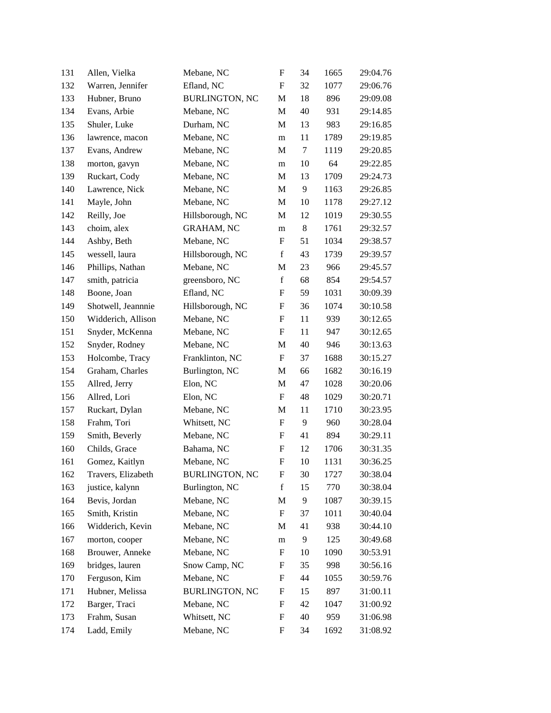| 131 | Allen, Vielka      | Mebane, NC            | $\boldsymbol{\mathrm{F}}$ | 34      | 1665 | 29:04.76 |
|-----|--------------------|-----------------------|---------------------------|---------|------|----------|
| 132 | Warren, Jennifer   | Efland, NC            | F                         | 32      | 1077 | 29:06.76 |
| 133 | Hubner, Bruno      | <b>BURLINGTON, NC</b> | M                         | 18      | 896  | 29:09.08 |
| 134 | Evans, Arbie       | Mebane, NC            | M                         | 40      | 931  | 29:14.85 |
| 135 | Shuler, Luke       | Durham, NC            | M                         | 13      | 983  | 29:16.85 |
| 136 | lawrence, macon    | Mebane, NC            | m                         | 11      | 1789 | 29:19.85 |
| 137 | Evans, Andrew      | Mebane, NC            | M                         | 7       | 1119 | 29:20.85 |
| 138 | morton, gavyn      | Mebane, NC            | m                         | 10      | 64   | 29:22.85 |
| 139 | Ruckart, Cody      | Mebane, NC            | M                         | 13      | 1709 | 29:24.73 |
| 140 | Lawrence, Nick     | Mebane, NC            | M                         | 9       | 1163 | 29:26.85 |
| 141 | Mayle, John        | Mebane, NC            | M                         | 10      | 1178 | 29:27.12 |
| 142 | Reilly, Joe        | Hillsborough, NC      | M                         | 12      | 1019 | 29:30.55 |
| 143 | choim, alex        | <b>GRAHAM, NC</b>     | m                         | $\,8\,$ | 1761 | 29:32.57 |
| 144 | Ashby, Beth        | Mebane, NC            | F                         | 51      | 1034 | 29:38.57 |
| 145 | wessell, laura     | Hillsborough, NC      | $\mathbf f$               | 43      | 1739 | 29:39.57 |
| 146 | Phillips, Nathan   | Mebane, NC            | M                         | 23      | 966  | 29:45.57 |
| 147 | smith, patricia    | greensboro, NC        | $\mathbf f$               | 68      | 854  | 29:54.57 |
| 148 | Boone, Joan        | Efland, NC            | F                         | 59      | 1031 | 30:09.39 |
| 149 | Shotwell, Jeannnie | Hillsborough, NC      | F                         | 36      | 1074 | 30:10.58 |
| 150 | Widderich, Allison | Mebane, NC            | $\mathbf F$               | 11      | 939  | 30:12.65 |
| 151 | Snyder, McKenna    | Mebane, NC            | $\mathbf F$               | 11      | 947  | 30:12.65 |
| 152 | Snyder, Rodney     | Mebane, NC            | M                         | 40      | 946  | 30:13.63 |
| 153 | Holcombe, Tracy    | Franklinton, NC       | $\boldsymbol{\mathrm{F}}$ | 37      | 1688 | 30:15.27 |
| 154 | Graham, Charles    | Burlington, NC        | M                         | 66      | 1682 | 30:16.19 |
| 155 | Allred, Jerry      | Elon, NC              | M                         | 47      | 1028 | 30:20.06 |
| 156 | Allred, Lori       | Elon, NC              | $\boldsymbol{\mathrm{F}}$ | 48      | 1029 | 30:20.71 |
| 157 | Ruckart, Dylan     | Mebane, NC            | M                         | 11      | 1710 | 30:23.95 |
| 158 | Frahm, Tori        | Whitsett, NC          | ${\bf F}$                 | 9       | 960  | 30:28.04 |
| 159 | Smith, Beverly     | Mebane, NC            | F                         | 41      | 894  | 30:29.11 |
| 160 | Childs, Grace      | Bahama, NC            | F                         | 12      | 1706 | 30:31.35 |
| 161 | Gomez, Kaitlyn     | Mebane, NC            | F                         | 10      | 1131 | 30:36.25 |
| 162 | Travers, Elizabeth | <b>BURLINGTON, NC</b> | F                         | 30      | 1727 | 30:38.04 |
| 163 | justice, kalynn    | Burlington, NC        | $\mathbf f$               | 15      | 770  | 30:38.04 |
| 164 | Bevis, Jordan      | Mebane, NC            | M                         | 9       | 1087 | 30:39.15 |
| 165 | Smith, Kristin     | Mebane, NC            | F                         | 37      | 1011 | 30:40.04 |
| 166 | Widderich, Kevin   | Mebane, NC            | M                         | 41      | 938  | 30:44.10 |
| 167 | morton, cooper     | Mebane, NC            | m                         | 9       | 125  | 30:49.68 |
| 168 | Brouwer, Anneke    | Mebane, NC            | F                         | 10      | 1090 | 30:53.91 |
| 169 | bridges, lauren    | Snow Camp, NC         | F                         | 35      | 998  | 30:56.16 |
| 170 | Ferguson, Kim      | Mebane, NC            | F                         | 44      | 1055 | 30:59.76 |
| 171 | Hubner, Melissa    | BURLINGTON, NC        | F                         | 15      | 897  | 31:00.11 |
| 172 | Barger, Traci      | Mebane, NC            | F                         | 42      | 1047 | 31:00.92 |
| 173 | Frahm, Susan       | Whitsett, NC          | F                         | 40      | 959  | 31:06.98 |
| 174 | Ladd, Emily        | Mebane, NC            | F                         | 34      | 1692 | 31:08.92 |
|     |                    |                       |                           |         |      |          |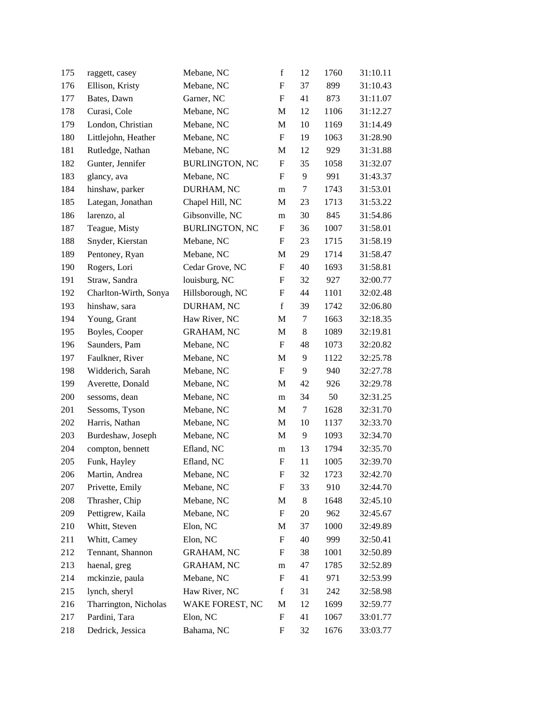| 175 | raggett, casey        | Mebane, NC            | $\mathbf f$               | 12      | 1760 | 31:10.11 |
|-----|-----------------------|-----------------------|---------------------------|---------|------|----------|
| 176 | Ellison, Kristy       | Mebane, NC            | F                         | 37      | 899  | 31:10.43 |
| 177 | Bates, Dawn           | Garner, NC            | $\boldsymbol{\mathrm{F}}$ | 41      | 873  | 31:11.07 |
| 178 | Curasi, Cole          | Mebane, NC            | M                         | 12      | 1106 | 31:12.27 |
| 179 | London, Christian     | Mebane, NC            | M                         | 10      | 1169 | 31:14.49 |
| 180 | Littlejohn, Heather   | Mebane, NC            | $\boldsymbol{\mathrm{F}}$ | 19      | 1063 | 31:28.90 |
| 181 | Rutledge, Nathan      | Mebane, NC            | M                         | 12      | 929  | 31:31.88 |
| 182 | Gunter, Jennifer      | <b>BURLINGTON, NC</b> | F                         | 35      | 1058 | 31:32.07 |
| 183 | glancy, ava           | Mebane, NC            | F                         | 9       | 991  | 31:43.37 |
| 184 | hinshaw, parker       | DURHAM, NC            | m                         | 7       | 1743 | 31:53.01 |
| 185 | Lategan, Jonathan     | Chapel Hill, NC       | M                         | 23      | 1713 | 31:53.22 |
| 186 | larenzo, al           | Gibsonville, NC       | m                         | 30      | 845  | 31:54.86 |
| 187 | Teague, Misty         | <b>BURLINGTON, NC</b> | F                         | 36      | 1007 | 31:58.01 |
| 188 | Snyder, Kierstan      | Mebane, NC            | F                         | 23      | 1715 | 31:58.19 |
| 189 | Pentoney, Ryan        | Mebane, NC            | M                         | 29      | 1714 | 31:58.47 |
| 190 | Rogers, Lori          | Cedar Grove, NC       | $\boldsymbol{\mathrm{F}}$ | 40      | 1693 | 31:58.81 |
| 191 | Straw, Sandra         | louisburg, NC         | F                         | 32      | 927  | 32:00.77 |
| 192 | Charlton-Wirth, Sonya | Hillsborough, NC      | F                         | 44      | 1101 | 32:02.48 |
| 193 | hinshaw, sara         | DURHAM, NC            | $\mathbf f$               | 39      | 1742 | 32:06.80 |
| 194 | Young, Grant          | Haw River, NC         | M                         | 7       | 1663 | 32:18.35 |
| 195 | Boyles, Cooper        | <b>GRAHAM, NC</b>     | M                         | $\,8\,$ | 1089 | 32:19.81 |
| 196 | Saunders, Pam         | Mebane, NC            | F                         | 48      | 1073 | 32:20.82 |
| 197 | Faulkner, River       | Mebane, NC            | M                         | 9       | 1122 | 32:25.78 |
| 198 | Widderich, Sarah      | Mebane, NC            | $\boldsymbol{\mathrm{F}}$ | 9       | 940  | 32:27.78 |
| 199 | Averette, Donald      | Mebane, NC            | M                         | 42      | 926  | 32:29.78 |
| 200 | sessoms, dean         | Mebane, NC            | m                         | 34      | 50   | 32:31.25 |
| 201 | Sessoms, Tyson        | Mebane, NC            | M                         | 7       | 1628 | 32:31.70 |
| 202 | Harris, Nathan        | Mebane, NC            | M                         | 10      | 1137 | 32:33.70 |
| 203 | Burdeshaw, Joseph     | Mebane, NC            | M                         | 9       | 1093 | 32:34.70 |
| 204 | compton, bennett      | Efland, NC            | m                         | 13      | 1794 | 32:35.70 |
| 205 | Funk, Hayley          | Efland, NC            | F                         | 11      | 1005 | 32:39.70 |
| 206 | Martin, Andrea        | Mebane, NC            | F                         | 32      | 1723 | 32:42.70 |
| 207 | Privette, Emily       | Mebane, NC            | F                         | 33      | 910  | 32:44.70 |
| 208 | Thrasher, Chip        | Mebane, NC            | M                         | 8       | 1648 | 32:45.10 |
| 209 | Pettigrew, Kaila      | Mebane, NC            | F                         | 20      | 962  | 32:45.67 |
| 210 | Whitt, Steven         | Elon, NC              | M                         | 37      | 1000 | 32:49.89 |
| 211 | Whitt, Camey          | Elon, NC              | F                         | 40      | 999  | 32:50.41 |
| 212 | Tennant, Shannon      | <b>GRAHAM, NC</b>     | F                         | 38      | 1001 | 32:50.89 |
| 213 | haenal, greg          | <b>GRAHAM, NC</b>     | m                         | 47      | 1785 | 32:52.89 |
| 214 | mckinzie, paula       | Mebane, NC            | F                         | 41      | 971  | 32:53.99 |
| 215 | lynch, sheryl         | Haw River, NC         | $\mathbf f$               | 31      | 242  | 32:58.98 |
| 216 | Tharrington, Nicholas | WAKE FOREST, NC       | M                         | 12      | 1699 | 32:59.77 |
| 217 | Pardini, Tara         | Elon, NC              | F                         | 41      | 1067 | 33:01.77 |
| 218 | Dedrick, Jessica      | Bahama, NC            | F                         | 32      | 1676 | 33:03.77 |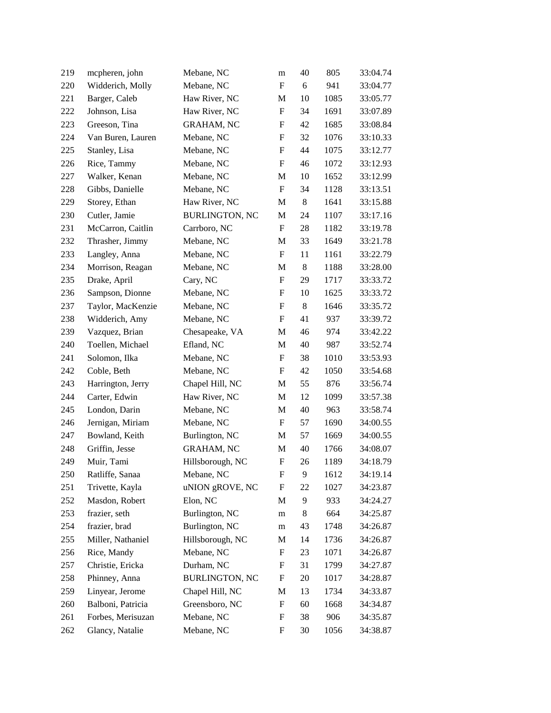| 219 | mcpheren, john    | Mebane, NC            | m                         | 40    | 805  | 33:04.74 |
|-----|-------------------|-----------------------|---------------------------|-------|------|----------|
| 220 | Widderich, Molly  | Mebane, NC            | F                         | 6     | 941  | 33:04.77 |
| 221 | Barger, Caleb     | Haw River, NC         | M                         | 10    | 1085 | 33:05.77 |
| 222 | Johnson, Lisa     | Haw River, NC         | ${\bf F}$                 | 34    | 1691 | 33:07.89 |
| 223 | Greeson, Tina     | <b>GRAHAM, NC</b>     | F                         | 42    | 1685 | 33:08.84 |
| 224 | Van Buren, Lauren | Mebane, NC            | $\boldsymbol{\mathrm{F}}$ | 32    | 1076 | 33:10.33 |
| 225 | Stanley, Lisa     | Mebane, NC            | F                         | 44    | 1075 | 33:12.77 |
| 226 | Rice, Tammy       | Mebane, NC            | F                         | 46    | 1072 | 33:12.93 |
| 227 | Walker, Kenan     | Mebane, NC            | M                         | 10    | 1652 | 33:12.99 |
| 228 | Gibbs, Danielle   | Mebane, NC            | $\boldsymbol{\mathrm{F}}$ | 34    | 1128 | 33:13.51 |
| 229 | Storey, Ethan     | Haw River, NC         | M                         | $8\,$ | 1641 | 33:15.88 |
| 230 | Cutler, Jamie     | <b>BURLINGTON, NC</b> | M                         | 24    | 1107 | 33:17.16 |
| 231 | McCarron, Caitlin | Carrboro, NC          | F                         | 28    | 1182 | 33:19.78 |
| 232 | Thrasher, Jimmy   | Mebane, NC            | M                         | 33    | 1649 | 33:21.78 |
| 233 | Langley, Anna     | Mebane, NC            | F                         | 11    | 1161 | 33:22.79 |
| 234 | Morrison, Reagan  | Mebane, NC            | M                         | $8\,$ | 1188 | 33:28.00 |
| 235 | Drake, April      | Cary, NC              | F                         | 29    | 1717 | 33:33.72 |
| 236 | Sampson, Dionne   | Mebane, NC            | F                         | 10    | 1625 | 33:33.72 |
| 237 | Taylor, MacKenzie | Mebane, NC            | F                         | $\,8$ | 1646 | 33:35.72 |
| 238 | Widderich, Amy    | Mebane, NC            | F                         | 41    | 937  | 33:39.72 |
| 239 | Vazquez, Brian    | Chesapeake, VA        | M                         | 46    | 974  | 33:42.22 |
| 240 | Toellen, Michael  | Efland, NC            | M                         | 40    | 987  | 33:52.74 |
| 241 | Solomon, Ilka     | Mebane, NC            | F                         | 38    | 1010 | 33:53.93 |
| 242 | Coble, Beth       | Mebane, NC            | $\boldsymbol{F}$          | 42    | 1050 | 33:54.68 |
| 243 | Harrington, Jerry | Chapel Hill, NC       | M                         | 55    | 876  | 33:56.74 |
| 244 | Carter, Edwin     | Haw River, NC         | M                         | 12    | 1099 | 33:57.38 |
| 245 | London, Darin     | Mebane, NC            | M                         | 40    | 963  | 33:58.74 |
| 246 | Jernigan, Miriam  | Mebane, NC            | F                         | 57    | 1690 | 34:00.55 |
| 247 | Bowland, Keith    | Burlington, NC        | M                         | 57    | 1669 | 34:00.55 |
| 248 | Griffin, Jesse    | <b>GRAHAM, NC</b>     | M                         | 40    | 1766 | 34:08.07 |
| 249 | Muir, Tami        | Hillsborough, NC      | F                         | 26    | 1189 | 34:18.79 |
| 250 | Ratliffe, Sanaa   | Mebane, NC            | F                         | 9     | 1612 | 34:19.14 |
| 251 | Trivette, Kayla   | uNION gROVE, NC       | F                         | 22    | 1027 | 34:23.87 |
| 252 | Masdon, Robert    | Elon, NC              | M                         | 9     | 933  | 34:24.27 |
| 253 | frazier, seth     | Burlington, NC        | m                         | 8     | 664  | 34:25.87 |
| 254 | frazier, brad     | Burlington, NC        | m                         | 43    | 1748 | 34:26.87 |
| 255 | Miller, Nathaniel | Hillsborough, NC      | M                         | 14    | 1736 | 34:26.87 |
| 256 | Rice, Mandy       | Mebane, NC            | F                         | 23    | 1071 | 34:26.87 |
| 257 | Christie, Ericka  | Durham, NC            | F                         | 31    | 1799 | 34:27.87 |
| 258 | Phinney, Anna     | <b>BURLINGTON, NC</b> | $\boldsymbol{F}$          | 20    | 1017 | 34:28.87 |
| 259 | Linyear, Jerome   | Chapel Hill, NC       | M                         | 13    | 1734 | 34:33.87 |
| 260 | Balboni, Patricia | Greensboro, NC        | F                         | 60    | 1668 | 34:34.87 |
| 261 | Forbes, Merisuzan | Mebane, NC            | F                         | 38    | 906  | 34:35.87 |
| 262 | Glancy, Natalie   | Mebane, NC            | F                         | 30    | 1056 | 34:38.87 |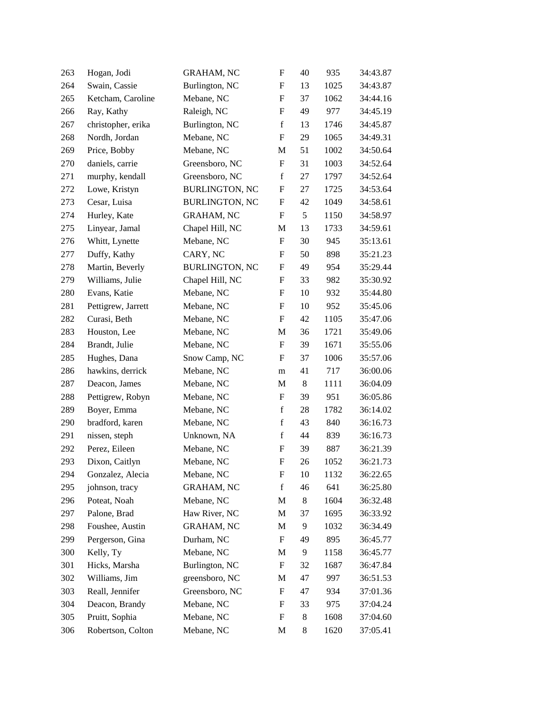| 263 | Hogan, Jodi        | <b>GRAHAM, NC</b>     | $\boldsymbol{\mathrm{F}}$ | 40    | 935  | 34:43.87 |
|-----|--------------------|-----------------------|---------------------------|-------|------|----------|
| 264 | Swain, Cassie      | Burlington, NC        | $\boldsymbol{\mathrm{F}}$ | 13    | 1025 | 34:43.87 |
| 265 | Ketcham, Caroline  | Mebane, NC            | $\boldsymbol{\mathrm{F}}$ | 37    | 1062 | 34:44.16 |
| 266 | Ray, Kathy         | Raleigh, NC           | F                         | 49    | 977  | 34:45.19 |
| 267 | christopher, erika | Burlington, NC        | $\mathbf f$               | 13    | 1746 | 34:45.87 |
| 268 | Nordh, Jordan      | Mebane, NC            | $\boldsymbol{\mathrm{F}}$ | 29    | 1065 | 34:49.31 |
| 269 | Price, Bobby       | Mebane, NC            | $\mathbf M$               | 51    | 1002 | 34:50.64 |
| 270 | daniels, carrie    | Greensboro, NC        | $\boldsymbol{\mathrm{F}}$ | 31    | 1003 | 34:52.64 |
| 271 | murphy, kendall    | Greensboro, NC        | $\mathbf f$               | 27    | 1797 | 34:52.64 |
| 272 | Lowe, Kristyn      | <b>BURLINGTON, NC</b> | F                         | 27    | 1725 | 34:53.64 |
| 273 | Cesar, Luisa       | <b>BURLINGTON, NC</b> | $\boldsymbol{\mathrm{F}}$ | 42    | 1049 | 34:58.61 |
| 274 | Hurley, Kate       | <b>GRAHAM, NC</b>     | F                         | 5     | 1150 | 34:58.97 |
| 275 | Linyear, Jamal     | Chapel Hill, NC       | $\mathbf M$               | 13    | 1733 | 34:59.61 |
| 276 | Whitt, Lynette     | Mebane, NC            | F                         | 30    | 945  | 35:13.61 |
| 277 | Duffy, Kathy       | CARY, NC              | F                         | 50    | 898  | 35:21.23 |
| 278 | Martin, Beverly    | <b>BURLINGTON, NC</b> | $\boldsymbol{\mathrm{F}}$ | 49    | 954  | 35:29.44 |
| 279 | Williams, Julie    | Chapel Hill, NC       | F                         | 33    | 982  | 35:30.92 |
| 280 | Evans, Katie       | Mebane, NC            | $\boldsymbol{\mathrm{F}}$ | 10    | 932  | 35:44.80 |
| 281 | Pettigrew, Jarrett | Mebane, NC            | F                         | 10    | 952  | 35:45.06 |
| 282 | Curasi, Beth       | Mebane, NC            | F                         | 42    | 1105 | 35:47.06 |
| 283 | Houston, Lee       | Mebane, NC            | $\mathbf M$               | 36    | 1721 | 35:49.06 |
| 284 | Brandt, Julie      | Mebane, NC            | F                         | 39    | 1671 | 35:55.06 |
| 285 | Hughes, Dana       | Snow Camp, NC         | $\boldsymbol{\mathrm{F}}$ | 37    | 1006 | 35:57.06 |
| 286 | hawkins, derrick   | Mebane, NC            | m                         | 41    | 717  | 36:00.06 |
| 287 | Deacon, James      | Mebane, NC            | $\mathbf M$               | $8\,$ | 1111 | 36:04.09 |
| 288 | Pettigrew, Robyn   | Mebane, NC            | $\boldsymbol{\mathrm{F}}$ | 39    | 951  | 36:05.86 |
| 289 | Boyer, Emma        | Mebane, NC            | $\mathbf f$               | 28    | 1782 | 36:14.02 |
| 290 | bradford, karen    | Mebane, NC            | $\mathbf f$               | 43    | 840  | 36:16.73 |
| 291 | nissen, steph      | Unknown, NA           | $\mathbf f$               | 44    | 839  | 36:16.73 |
| 292 | Perez, Eileen      | Mebane, NC            | F                         | 39    | 887  | 36:21.39 |
| 293 | Dixon, Caitlyn     | Mebane, NC            | F                         | 26    | 1052 | 36:21.73 |
| 294 | Gonzalez, Alecia   | Mebane, NC            | F                         | 10    | 1132 | 36:22.65 |
| 295 | johnson, tracy     | <b>GRAHAM, NC</b>     | $\mathbf f$               | 46    | 641  | 36:25.80 |
| 296 | Poteat, Noah       | Mebane, NC            | M                         | 8     | 1604 | 36:32.48 |
| 297 | Palone, Brad       | Haw River, NC         | M                         | 37    | 1695 | 36:33.92 |
| 298 | Foushee, Austin    | <b>GRAHAM, NC</b>     | M                         | 9     | 1032 | 36:34.49 |
| 299 | Pergerson, Gina    | Durham, NC            | F                         | 49    | 895  | 36:45.77 |
| 300 | Kelly, Ty          | Mebane, NC            | $\mathbf M$               | 9     | 1158 | 36:45.77 |
| 301 | Hicks, Marsha      | Burlington, NC        | F                         | 32    | 1687 | 36:47.84 |
| 302 | Williams, Jim      | greensboro, NC        | M                         | 47    | 997  | 36:51.53 |
| 303 | Reall, Jennifer    | Greensboro, NC        | F                         | 47    | 934  | 37:01.36 |
| 304 | Deacon, Brandy     | Mebane, NC            | F                         | 33    | 975  | 37:04.24 |
| 305 | Pruitt, Sophia     | Mebane, NC            | F                         | 8     | 1608 | 37:04.60 |
| 306 | Robertson, Colton  | Mebane, NC            | M                         | 8     | 1620 | 37:05.41 |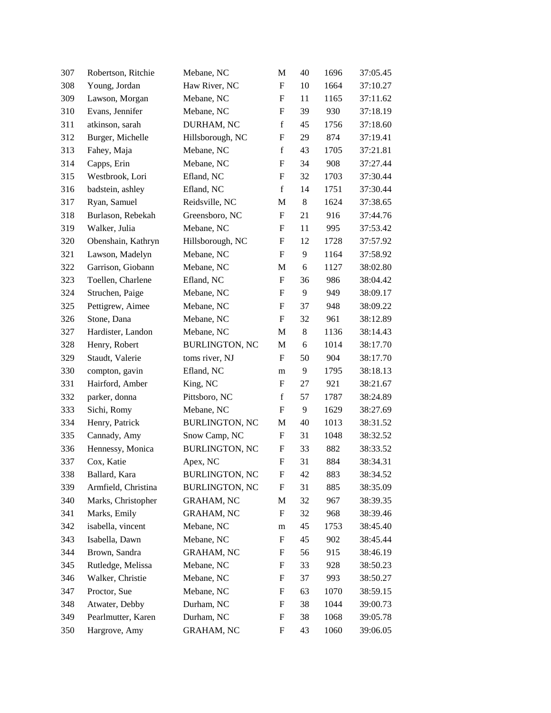| 307 | Robertson, Ritchie  | Mebane, NC            | M                         | 40      | 1696 | 37:05.45 |
|-----|---------------------|-----------------------|---------------------------|---------|------|----------|
| 308 | Young, Jordan       | Haw River, NC         | F                         | 10      | 1664 | 37:10.27 |
| 309 | Lawson, Morgan      | Mebane, NC            | F                         | 11      | 1165 | 37:11.62 |
| 310 | Evans, Jennifer     | Mebane, NC            | F                         | 39      | 930  | 37:18.19 |
| 311 | atkinson, sarah     | DURHAM, NC            | $\mathbf f$               | 45      | 1756 | 37:18.60 |
| 312 | Burger, Michelle    | Hillsborough, NC      | $\boldsymbol{\mathrm{F}}$ | 29      | 874  | 37:19.41 |
| 313 | Fahey, Maja         | Mebane, NC            | $\mathbf f$               | 43      | 1705 | 37:21.81 |
| 314 | Capps, Erin         | Mebane, NC            | F                         | 34      | 908  | 37:27.44 |
| 315 | Westbrook, Lori     | Efland, NC            | F                         | 32      | 1703 | 37:30.44 |
| 316 | badstein, ashley    | Efland, NC            | $\mathbf f$               | 14      | 1751 | 37:30.44 |
| 317 | Ryan, Samuel        | Reidsville, NC        | M                         | $\,8\,$ | 1624 | 37:38.65 |
| 318 | Burlason, Rebekah   | Greensboro, NC        | F                         | 21      | 916  | 37:44.76 |
| 319 | Walker, Julia       | Mebane, NC            | F                         | 11      | 995  | 37:53.42 |
| 320 | Obenshain, Kathryn  | Hillsborough, NC      | F                         | 12      | 1728 | 37:57.92 |
| 321 | Lawson, Madelyn     | Mebane, NC            | F                         | 9       | 1164 | 37:58.92 |
| 322 | Garrison, Giobann   | Mebane, NC            | M                         | 6       | 1127 | 38:02.80 |
| 323 | Toellen, Charlene   | Efland, NC            | F                         | 36      | 986  | 38:04.42 |
| 324 | Struchen, Paige     | Mebane, NC            | F                         | 9       | 949  | 38:09.17 |
| 325 | Pettigrew, Aimee    | Mebane, NC            | F                         | 37      | 948  | 38:09.22 |
| 326 | Stone, Dana         | Mebane, NC            | F                         | 32      | 961  | 38:12.89 |
| 327 | Hardister, Landon   | Mebane, NC            | M                         | $\,8\,$ | 1136 | 38:14.43 |
| 328 | Henry, Robert       | <b>BURLINGTON, NC</b> | M                         | 6       | 1014 | 38:17.70 |
| 329 | Staudt, Valerie     | toms river, NJ        | $\boldsymbol{\mathrm{F}}$ | 50      | 904  | 38:17.70 |
| 330 | compton, gavin      | Efland, NC            | m                         | 9       | 1795 | 38:18.13 |
| 331 | Hairford, Amber     | King, NC              | F                         | 27      | 921  | 38:21.67 |
| 332 | parker, donna       | Pittsboro, NC         | $\mathbf f$               | 57      | 1787 | 38:24.89 |
| 333 | Sichi, Romy         | Mebane, NC            | F                         | 9       | 1629 | 38:27.69 |
| 334 | Henry, Patrick      | <b>BURLINGTON, NC</b> | M                         | 40      | 1013 | 38:31.52 |
| 335 | Cannady, Amy        | Snow Camp, NC         | F                         | 31      | 1048 | 38:32.52 |
| 336 | Hennessy, Monica    | <b>BURLINGTON, NC</b> | F                         | 33      | 882  | 38:33.52 |
| 337 | Cox, Katie          | Apex, NC              | $\boldsymbol{\mathrm{F}}$ | 31      | 884  | 38:34.31 |
| 338 | Ballard, Kara       | BURLINGTON, NC        | F                         | 42      | 883  | 38:34.52 |
| 339 | Armfield, Christina | <b>BURLINGTON, NC</b> | F                         | 31      | 885  | 38:35.09 |
| 340 | Marks, Christopher  | <b>GRAHAM, NC</b>     | M                         | 32      | 967  | 38:39.35 |
| 341 | Marks, Emily        | <b>GRAHAM, NC</b>     | F                         | 32      | 968  | 38:39.46 |
| 342 | isabella, vincent   | Mebane, NC            | m                         | 45      | 1753 | 38:45.40 |
| 343 | Isabella, Dawn      | Mebane, NC            | F                         | 45      | 902  | 38:45.44 |
| 344 | Brown, Sandra       | <b>GRAHAM, NC</b>     | F                         | 56      | 915  | 38:46.19 |
| 345 | Rutledge, Melissa   | Mebane, NC            | F                         | 33      | 928  | 38:50.23 |
| 346 | Walker, Christie    | Mebane, NC            | F                         | 37      | 993  | 38:50.27 |
| 347 | Proctor, Sue        | Mebane, NC            | F                         | 63      | 1070 | 38:59.15 |
| 348 | Atwater, Debby      | Durham, NC            | F                         | 38      | 1044 | 39:00.73 |
| 349 | Pearlmutter, Karen  | Durham, NC            | F                         | 38      | 1068 | 39:05.78 |
| 350 | Hargrove, Amy       | GRAHAM, NC            | F                         | 43      | 1060 | 39:06.05 |
|     |                     |                       |                           |         |      |          |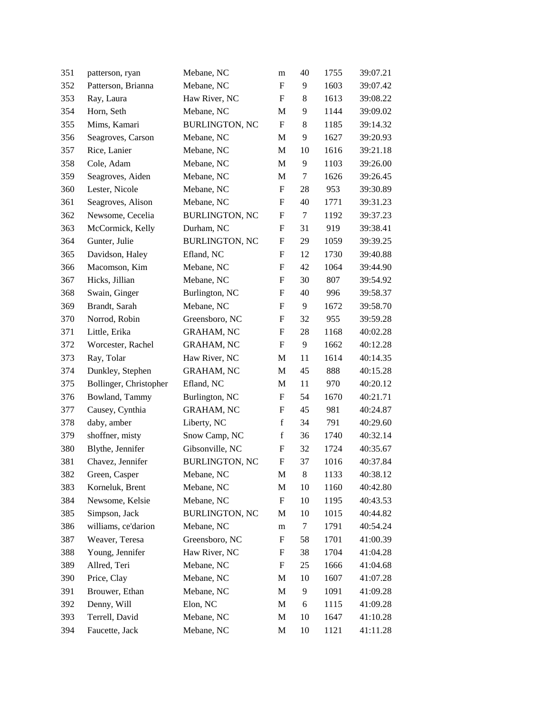| 351 | patterson, ryan        | Mebane, NC            | m                         | 40     | 1755 | 39:07.21 |
|-----|------------------------|-----------------------|---------------------------|--------|------|----------|
| 352 | Patterson, Brianna     | Mebane, NC            | F                         | 9      | 1603 | 39:07.42 |
| 353 | Ray, Laura             | Haw River, NC         | F                         | 8      | 1613 | 39:08.22 |
| 354 | Horn, Seth             | Mebane, NC            | M                         | 9      | 1144 | 39:09.02 |
| 355 | Mims, Kamari           | <b>BURLINGTON, NC</b> | $\boldsymbol{\mathrm{F}}$ | 8      | 1185 | 39:14.32 |
| 356 | Seagroves, Carson      | Mebane, NC            | M                         | 9      | 1627 | 39:20.93 |
| 357 | Rice, Lanier           | Mebane, NC            | M                         | 10     | 1616 | 39:21.18 |
| 358 | Cole, Adam             | Mebane, NC            | M                         | 9      | 1103 | 39:26.00 |
| 359 | Seagroves, Aiden       | Mebane, NC            | M                         | $\tau$ | 1626 | 39:26.45 |
| 360 | Lester, Nicole         | Mebane, NC            | F                         | 28     | 953  | 39:30.89 |
| 361 | Seagroves, Alison      | Mebane, NC            | F                         | 40     | 1771 | 39:31.23 |
| 362 | Newsome, Cecelia       | <b>BURLINGTON, NC</b> | F                         | 7      | 1192 | 39:37.23 |
| 363 | McCormick, Kelly       | Durham, NC            | F                         | 31     | 919  | 39:38.41 |
| 364 | Gunter, Julie          | <b>BURLINGTON, NC</b> | F                         | 29     | 1059 | 39:39.25 |
| 365 | Davidson, Haley        | Efland, NC            | F                         | 12     | 1730 | 39:40.88 |
| 366 | Macomson, Kim          | Mebane, NC            | $\boldsymbol{\mathrm{F}}$ | 42     | 1064 | 39:44.90 |
| 367 | Hicks, Jillian         | Mebane, NC            | F                         | 30     | 807  | 39:54.92 |
| 368 | Swain, Ginger          | Burlington, NC        | F                         | 40     | 996  | 39:58.37 |
| 369 | Brandt, Sarah          | Mebane, NC            | F                         | 9      | 1672 | 39:58.70 |
| 370 | Norrod, Robin          | Greensboro, NC        | F                         | 32     | 955  | 39:59.28 |
| 371 | Little, Erika          | <b>GRAHAM, NC</b>     | F                         | 28     | 1168 | 40:02.28 |
| 372 | Worcester, Rachel      | <b>GRAHAM, NC</b>     | F                         | 9      | 1662 | 40:12.28 |
| 373 | Ray, Tolar             | Haw River, NC         | $\mathbf M$               | 11     | 1614 | 40:14.35 |
| 374 | Dunkley, Stephen       | <b>GRAHAM, NC</b>     | M                         | 45     | 888  | 40:15.28 |
| 375 | Bollinger, Christopher | Efland, NC            | $\mathbf M$               | 11     | 970  | 40:20.12 |
| 376 | Bowland, Tammy         | Burlington, NC        | F                         | 54     | 1670 | 40:21.71 |
| 377 | Causey, Cynthia        | <b>GRAHAM, NC</b>     | F                         | 45     | 981  | 40:24.87 |
| 378 | daby, amber            | Liberty, NC           | $\mathbf f$               | 34     | 791  | 40:29.60 |
| 379 | shoffner, misty        | Snow Camp, NC         | $\mathbf f$               | 36     | 1740 | 40:32.14 |
| 380 | Blythe, Jennifer       | Gibsonville, NC       | F                         | 32     | 1724 | 40:35.67 |
| 381 | Chavez, Jennifer       | <b>BURLINGTON, NC</b> | F                         | 37     | 1016 | 40:37.84 |
| 382 | Green, Casper          | Mebane, NC            | M                         | 8      | 1133 | 40:38.12 |
| 383 | Korneluk, Brent        | Mebane, NC            | $\mathbf M$               | 10     | 1160 | 40:42.80 |
| 384 | Newsome, Kelsie        | Mebane, NC            | F                         | 10     | 1195 | 40:43.53 |
| 385 | Simpson, Jack          | <b>BURLINGTON, NC</b> | M                         | 10     | 1015 | 40:44.82 |
| 386 | williams, ce'darion    | Mebane, NC            | m                         | $\tau$ | 1791 | 40:54.24 |
| 387 | Weaver, Teresa         | Greensboro, NC        | F                         | 58     | 1701 | 41:00.39 |
| 388 | Young, Jennifer        | Haw River, NC         | F                         | 38     | 1704 | 41:04.28 |
| 389 | Allred, Teri           | Mebane, NC            | F                         | 25     | 1666 | 41:04.68 |
| 390 | Price, Clay            | Mebane, NC            | M                         | 10     | 1607 | 41:07.28 |
| 391 | Brouwer, Ethan         | Mebane, NC            | $\mathbf M$               | 9      | 1091 | 41:09.28 |
| 392 | Denny, Will            | Elon, NC              | M                         | 6      | 1115 | 41:09.28 |
| 393 | Terrell, David         | Mebane, NC            | M                         | 10     | 1647 | 41:10.28 |
| 394 | Faucette, Jack         | Mebane, NC            | M                         | 10     | 1121 | 41:11.28 |
|     |                        |                       |                           |        |      |          |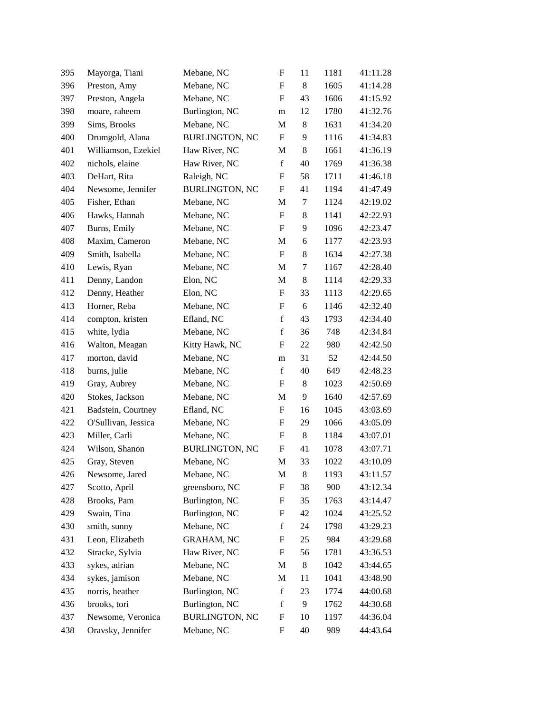| 395 | Mayorga, Tiani      | Mebane, NC            | F                         | 11      | 1181 | 41:11.28 |
|-----|---------------------|-----------------------|---------------------------|---------|------|----------|
| 396 | Preston, Amy        | Mebane, NC            | $\boldsymbol{\mathrm{F}}$ | $\,8$   | 1605 | 41:14.28 |
| 397 | Preston, Angela     | Mebane, NC            | F                         | 43      | 1606 | 41:15.92 |
| 398 | moare, raheem       | Burlington, NC        | m                         | 12      | 1780 | 41:32.76 |
| 399 | Sims, Brooks        | Mebane, NC            | M                         | 8       | 1631 | 41:34.20 |
| 400 | Drumgold, Alana     | <b>BURLINGTON, NC</b> | $\boldsymbol{\mathrm{F}}$ | 9       | 1116 | 41:34.83 |
| 401 | Williamson, Ezekiel | Haw River, NC         | M                         | 8       | 1661 | 41:36.19 |
| 402 | nichols, elaine     | Haw River, NC         | $\mathbf f$               | 40      | 1769 | 41:36.38 |
| 403 | DeHart, Rita        | Raleigh, NC           | F                         | 58      | 1711 | 41:46.18 |
| 404 | Newsome, Jennifer   | <b>BURLINGTON, NC</b> | F                         | 41      | 1194 | 41:47.49 |
| 405 | Fisher, Ethan       | Mebane, NC            | $\mathbf M$               | $\tau$  | 1124 | 42:19.02 |
| 406 | Hawks, Hannah       | Mebane, NC            | F                         | $\,8$   | 1141 | 42:22.93 |
| 407 | Burns, Emily        | Mebane, NC            | F                         | 9       | 1096 | 42:23.47 |
| 408 | Maxim, Cameron      | Mebane, NC            | $\mathbf M$               | 6       | 1177 | 42:23.93 |
| 409 | Smith, Isabella     | Mebane, NC            | $\boldsymbol{\mathrm{F}}$ | $\,8\,$ | 1634 | 42:27.38 |
| 410 | Lewis, Ryan         | Mebane, NC            | M                         | 7       | 1167 | 42:28.40 |
| 411 | Denny, Landon       | Elon, NC              | M                         | 8       | 1114 | 42:29.33 |
| 412 | Denny, Heather      | Elon, NC              | $\boldsymbol{F}$          | 33      | 1113 | 42:29.65 |
| 413 | Horner, Reba        | Mebane, NC            | F                         | 6       | 1146 | 42:32.40 |
| 414 | compton, kristen    | Efland, NC            | $\mathbf f$               | 43      | 1793 | 42:34.40 |
| 415 | white, lydia        | Mebane, NC            | $\mathbf f$               | 36      | 748  | 42:34.84 |
| 416 | Walton, Meagan      | Kitty Hawk, NC        | F                         | 22      | 980  | 42:42.50 |
| 417 | morton, david       | Mebane, NC            | m                         | 31      | 52   | 42:44.50 |
| 418 | burns, julie        | Mebane, NC            | $\mathbf f$               | 40      | 649  | 42:48.23 |
| 419 | Gray, Aubrey        | Mebane, NC            | F                         | $\,8\,$ | 1023 | 42:50.69 |
| 420 | Stokes, Jackson     | Mebane, NC            | $\mathbf M$               | 9       | 1640 | 42:57.69 |
| 421 | Badstein, Courtney  | Efland, NC            | $\boldsymbol{F}$          | 16      | 1045 | 43:03.69 |
| 422 | O'Sullivan, Jessica | Mebane, NC            | F                         | 29      | 1066 | 43:05.09 |
| 423 | Miller, Carli       | Mebane, NC            | F                         | $\,8\,$ | 1184 | 43:07.01 |
| 424 | Wilson, Shanon      | <b>BURLINGTON, NC</b> | F                         | 41      | 1078 | 43:07.71 |
| 425 | Gray, Steven        | Mebane, NC            | $\mathbf M$               | 33      | 1022 | 43:10.09 |
| 426 | Newsome, Jared      | Mebane, NC            | M                         | $\,8$   | 1193 | 43:11.57 |
| 427 | Scotto, April       | greensboro, NC        | F                         | 38      | 900  | 43:12.34 |
| 428 | Brooks, Pam         | Burlington, NC        | F                         | 35      | 1763 | 43:14.47 |
| 429 | Swain, Tina         | Burlington, NC        | F                         | 42      | 1024 | 43:25.52 |
| 430 | smith, sunny        | Mebane, NC            | $\mathbf f$               | 24      | 1798 | 43:29.23 |
| 431 | Leon, Elizabeth     | <b>GRAHAM, NC</b>     | F                         | 25      | 984  | 43:29.68 |
| 432 | Stracke, Sylvia     | Haw River, NC         | F                         | 56      | 1781 | 43:36.53 |
| 433 | sykes, adrian       | Mebane, NC            | M                         | 8       | 1042 | 43:44.65 |
| 434 | sykes, jamison      | Mebane, NC            | M                         | 11      | 1041 | 43:48.90 |
| 435 | norris, heather     | Burlington, NC        | $\mathbf f$               | 23      | 1774 | 44:00.68 |
| 436 | brooks, tori        | Burlington, NC        | $\mathbf f$               | 9       | 1762 | 44:30.68 |
| 437 | Newsome, Veronica   | <b>BURLINGTON, NC</b> | F                         | 10      | 1197 | 44:36.04 |
| 438 | Oravsky, Jennifer   | Mebane, NC            | ${\bf F}$                 | 40      | 989  | 44:43.64 |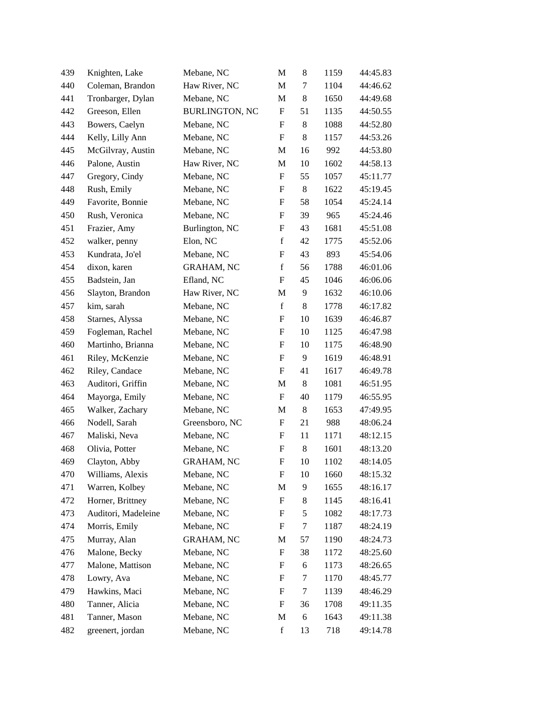| 439 | Knighten, Lake      | Mebane, NC            | M                         | 8          | 1159 | 44:45.83 |
|-----|---------------------|-----------------------|---------------------------|------------|------|----------|
| 440 | Coleman, Brandon    | Haw River, NC         | M                         | 7          | 1104 | 44:46.62 |
| 441 | Tronbarger, Dylan   | Mebane, NC            | M                         | $\,8$      | 1650 | 44:49.68 |
| 442 | Greeson, Ellen      | <b>BURLINGTON, NC</b> | F                         | 51         | 1135 | 44:50.55 |
| 443 | Bowers, Caelyn      | Mebane, NC            | $\boldsymbol{\mathrm{F}}$ | $\,8$      | 1088 | 44:52.80 |
| 444 | Kelly, Lilly Ann    | Mebane, NC            | $\boldsymbol{\mathrm{F}}$ | $\,8\,$    | 1157 | 44:53.26 |
| 445 | McGilvray, Austin   | Mebane, NC            | M                         | 16         | 992  | 44:53.80 |
| 446 | Palone, Austin      | Haw River, NC         | M                         | 10         | 1602 | 44:58.13 |
| 447 | Gregory, Cindy      | Mebane, NC            | F                         | 55         | 1057 | 45:11.77 |
| 448 | Rush, Emily         | Mebane, NC            | F                         | $\,8\,$    | 1622 | 45:19.45 |
| 449 | Favorite, Bonnie    | Mebane, NC            | ${\bf F}$                 | 58         | 1054 | 45:24.14 |
| 450 | Rush, Veronica      | Mebane, NC            | F                         | 39         | 965  | 45:24.46 |
| 451 | Frazier, Amy        | Burlington, NC        | $\mathbf F$               | 43         | 1681 | 45:51.08 |
| 452 | walker, penny       | Elon, NC              | $\mathbf f$               | 42         | 1775 | 45:52.06 |
| 453 | Kundrata, Jo'el     | Mebane, NC            | ${\bf F}$                 | 43         | 893  | 45:54.06 |
| 454 | dixon, karen        | <b>GRAHAM, NC</b>     | $\mathbf f$               | 56         | 1788 | 46:01.06 |
| 455 | Badstein, Jan       | Efland, NC            | F                         | 45         | 1046 | 46:06.06 |
| 456 | Slayton, Brandon    | Haw River, NC         | M                         | 9          | 1632 | 46:10.06 |
| 457 | kim, sarah          | Mebane, NC            | $\mathbf f$               | $\,8\,$    | 1778 | 46:17.82 |
| 458 | Starnes, Alyssa     | Mebane, NC            | F                         | 10         | 1639 | 46:46.87 |
| 459 | Fogleman, Rachel    | Mebane, NC            | F                         | 10         | 1125 | 46:47.98 |
| 460 | Martinho, Brianna   | Mebane, NC            | F                         | 10         | 1175 | 46:48.90 |
| 461 | Riley, McKenzie     | Mebane, NC            | F                         | 9          | 1619 | 46:48.91 |
| 462 | Riley, Candace      | Mebane, NC            | F                         | 41         | 1617 | 46:49.78 |
| 463 | Auditori, Griffin   | Mebane, NC            | M                         | $8\,$      | 1081 | 46:51.95 |
| 464 | Mayorga, Emily      | Mebane, NC            | $\boldsymbol{\mathrm{F}}$ | 40         | 1179 | 46:55.95 |
| 465 | Walker, Zachary     | Mebane, NC            | M                         | $\,8\,$    | 1653 | 47:49.95 |
| 466 | Nodell, Sarah       | Greensboro, NC        | F                         | 21         | 988  | 48:06.24 |
| 467 | Maliski, Neva       | Mebane, NC            | F                         | 11         | 1171 | 48:12.15 |
| 468 | Olivia, Potter      | Mebane, NC            | F                         | 8          | 1601 | 48:13.20 |
| 469 | Clayton, Abby       | <b>GRAHAM, NC</b>     | F                         | 10         | 1102 | 48:14.05 |
| 470 | Williams, Alexis    | Mebane, NC            | F                         | 10         | 1660 | 48:15.32 |
| 471 | Warren, Kolbey      | Mebane, NC            | M                         | 9          | 1655 | 48:16.17 |
| 472 | Horner, Brittney    | Mebane, NC            | F                         | 8          | 1145 | 48:16.41 |
| 473 | Auditori, Madeleine | Mebane, NC            | F                         | $\sqrt{5}$ | 1082 | 48:17.73 |
| 474 | Morris, Emily       | Mebane, NC            | F                         | 7          | 1187 | 48:24.19 |
| 475 | Murray, Alan        | <b>GRAHAM, NC</b>     | M                         | 57         | 1190 | 48:24.73 |
| 476 | Malone, Becky       | Mebane, NC            | $\boldsymbol{\mathrm{F}}$ | 38         | 1172 | 48:25.60 |
| 477 | Malone, Mattison    | Mebane, NC            | F                         | 6          | 1173 | 48:26.65 |
| 478 | Lowry, Ava          | Mebane, NC            | F                         | 7          | 1170 | 48:45.77 |
| 479 | Hawkins, Maci       | Mebane, NC            | F                         | 7          | 1139 | 48:46.29 |
| 480 | Tanner, Alicia      | Mebane, NC            | F                         | 36         | 1708 | 49:11.35 |
| 481 | Tanner, Mason       | Mebane, NC            | M                         | 6          | 1643 | 49:11.38 |
| 482 | greenert, jordan    | Mebane, NC            | $\mathbf f$               | 13         | 718  | 49:14.78 |
|     |                     |                       |                           |            |      |          |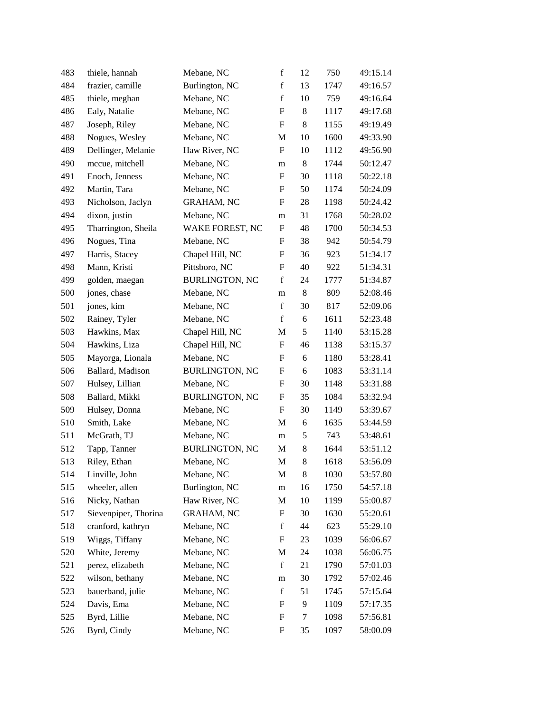| 483 | thiele, hannah       | Mebane, NC            | $\mathbf f$               | 12         | 750  | 49:15.14 |
|-----|----------------------|-----------------------|---------------------------|------------|------|----------|
| 484 | frazier, camille     | Burlington, NC        | $\mathbf f$               | 13         | 1747 | 49:16.57 |
| 485 | thiele, meghan       | Mebane, NC            | $\mathbf f$               | 10         | 759  | 49:16.64 |
| 486 | Ealy, Natalie        | Mebane, NC            | $\boldsymbol{\mathrm{F}}$ | $\,8$      | 1117 | 49:17.68 |
| 487 | Joseph, Riley        | Mebane, NC            | F                         | 8          | 1155 | 49:19.49 |
| 488 | Nogues, Wesley       | Mebane, NC            | M                         | 10         | 1600 | 49:33.90 |
| 489 | Dellinger, Melanie   | Haw River, NC         | F                         | 10         | 1112 | 49:56.90 |
| 490 | mccue, mitchell      | Mebane, NC            | m                         | $\,8$      | 1744 | 50:12.47 |
| 491 | Enoch, Jenness       | Mebane, NC            | $\boldsymbol{\mathrm{F}}$ | 30         | 1118 | 50:22.18 |
| 492 | Martin, Tara         | Mebane, NC            | F                         | 50         | 1174 | 50:24.09 |
| 493 | Nicholson, Jaclyn    | <b>GRAHAM, NC</b>     | F                         | 28         | 1198 | 50:24.42 |
| 494 | dixon, justin        | Mebane, NC            | m                         | 31         | 1768 | 50:28.02 |
| 495 | Tharrington, Sheila  | WAKE FOREST, NC       | F                         | 48         | 1700 | 50:34.53 |
| 496 | Nogues, Tina         | Mebane, NC            | F                         | 38         | 942  | 50:54.79 |
| 497 | Harris, Stacey       | Chapel Hill, NC       | F                         | 36         | 923  | 51:34.17 |
| 498 | Mann, Kristi         | Pittsboro, NC         | $\boldsymbol{\mathrm{F}}$ | 40         | 922  | 51:34.31 |
| 499 | golden, maegan       | <b>BURLINGTON, NC</b> | $\mathbf f$               | 24         | 1777 | 51:34.87 |
| 500 | jones, chase         | Mebane, NC            | m                         | $\,8\,$    | 809  | 52:08.46 |
| 501 | jones, kim           | Mebane, NC            | $\mathbf f$               | 30         | 817  | 52:09.06 |
| 502 | Rainey, Tyler        | Mebane, NC            | $\mathbf f$               | 6          | 1611 | 52:23.48 |
| 503 | Hawkins, Max         | Chapel Hill, NC       | M                         | $\sqrt{5}$ | 1140 | 53:15.28 |
| 504 | Hawkins, Liza        | Chapel Hill, NC       | F                         | 46         | 1138 | 53:15.37 |
| 505 | Mayorga, Lionala     | Mebane, NC            | F                         | 6          | 1180 | 53:28.41 |
| 506 | Ballard, Madison     | <b>BURLINGTON, NC</b> | F                         | 6          | 1083 | 53:31.14 |
| 507 | Hulsey, Lillian      | Mebane, NC            | F                         | 30         | 1148 | 53:31.88 |
| 508 | Ballard, Mikki       | <b>BURLINGTON, NC</b> | F                         | 35         | 1084 | 53:32.94 |
| 509 | Hulsey, Donna        | Mebane, NC            | F                         | 30         | 1149 | 53:39.67 |
| 510 | Smith, Lake          | Mebane, NC            | M                         | 6          | 1635 | 53:44.59 |
| 511 | McGrath, TJ          | Mebane, NC            | m                         | $\sqrt{5}$ | 743  | 53:48.61 |
| 512 | Tapp, Tanner         | <b>BURLINGTON, NC</b> | M                         | 8          | 1644 | 53:51.12 |
| 513 | Riley, Ethan         | Mebane, NC            | M                         | 8          | 1618 | 53:56.09 |
| 514 | Linville, John       | Mebane, NC            | M                         | 8          | 1030 | 53:57.80 |
| 515 | wheeler, allen       | Burlington, NC        | m                         | 16         | 1750 | 54:57.18 |
| 516 | Nicky, Nathan        | Haw River, NC         | M                         | 10         | 1199 | 55:00.87 |
| 517 | Sievenpiper, Thorina | <b>GRAHAM, NC</b>     | F                         | 30         | 1630 | 55:20.61 |
| 518 | cranford, kathryn    | Mebane, NC            | $\mathbf f$               | 44         | 623  | 55:29.10 |
| 519 | Wiggs, Tiffany       | Mebane, NC            | F                         | 23         | 1039 | 56:06.67 |
| 520 | White, Jeremy        | Mebane, NC            | M                         | 24         | 1038 | 56:06.75 |
| 521 | perez, elizabeth     | Mebane, NC            | $\mathbf f$               | 21         | 1790 | 57:01.03 |
| 522 | wilson, bethany      | Mebane, NC            | m                         | 30         | 1792 | 57:02.46 |
| 523 | bauerband, julie     | Mebane, NC            | $\mathbf f$               | 51         | 1745 | 57:15.64 |
| 524 | Davis, Ema           | Mebane, NC            | F                         | 9          | 1109 | 57:17.35 |
| 525 | Byrd, Lillie         | Mebane, NC            | F                         | 7          | 1098 | 57:56.81 |
| 526 | Byrd, Cindy          | Mebane, NC            | F                         | 35         | 1097 | 58:00.09 |